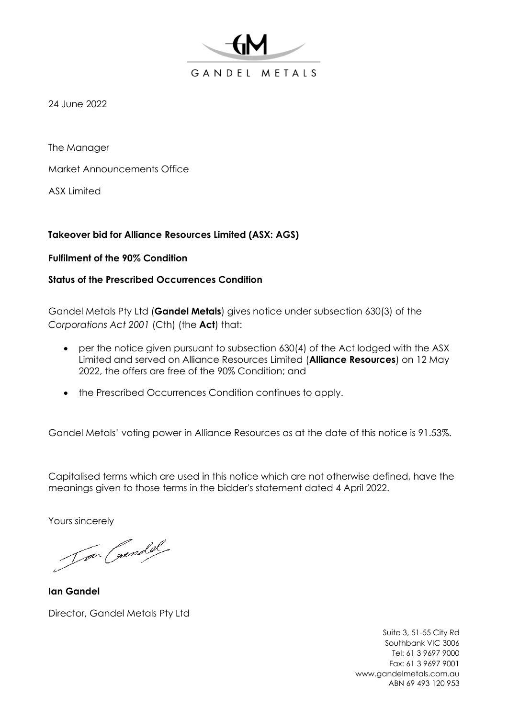

24 June 2022

The Manager

Market Announcements Office

ASX Limited

## **Takeover bid for Alliance Resources Limited (ASX: AGS)**

**Fulfilment of the 90% Condition** 

## **Status of the Prescribed Occurrences Condition**

Gandel Metals Pty Ltd (**Gandel Metals**) gives notice under subsection 630(3) of the *Corporations Act 2001* (Cth) (the **Act**) that:

- per the notice given pursuant to subsection 630(4) of the Act lodged with the ASX Limited and served on Alliance Resources Limited (**Alliance Resources**) on 12 May 2022, the offers are free of the 90% Condition; and
- the Prescribed Occurrences Condition continues to apply.

Gandel Metals' voting power in Alliance Resources as at the date of this notice is 91.53%.

Capitalised terms which are used in this notice which are not otherwise defined, have the meanings given to those terms in the bidder's statement dated 4 April 2022.

Yours sincerely

Jar Candel

**Ian Gandel** Director, Gandel Metals Pty Ltd

Suite 3, 51-55 City Rd Southbank VIC 3006 Tel: 61 3 9697 9000 Fax: 61 3 9697 9001 www.gandelmetals.com.au ABN 69 493 120 953